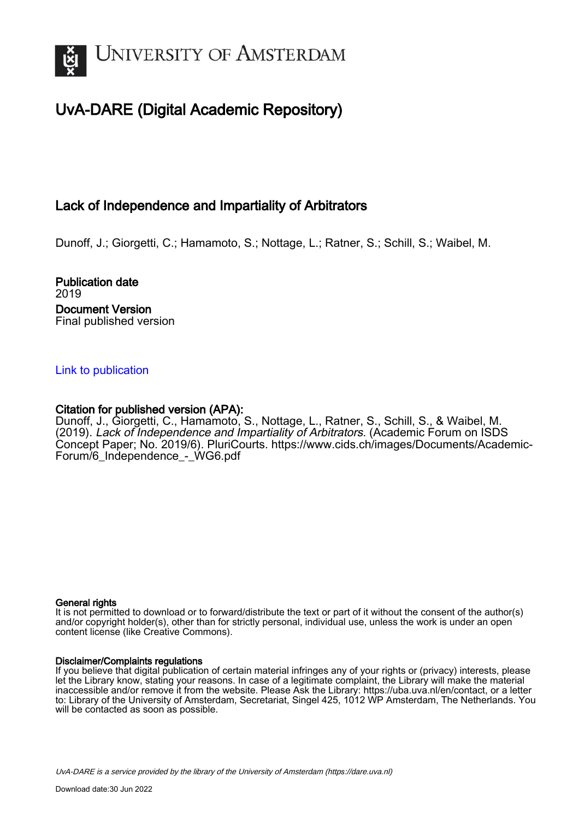

# UvA-DARE (Digital Academic Repository)

## Lack of Independence and Impartiality of Arbitrators

Dunoff, J.; Giorgetti, C.; Hamamoto, S.; Nottage, L.; Ratner, S.; Schill, S.; Waibel, M.

Publication date 2019 Document Version Final published version

## [Link to publication](https://dare.uva.nl/personal/pure/en/publications/lack-of-independence-and-impartiality-of-arbitrators(927ebed6-954f-4b2d-b753-61b29e9c60cc).html)

## Citation for published version (APA):

Dunoff, J., Giorgetti, C., Hamamoto, S., Nottage, L., Ratner, S., Schill, S., & Waibel, M. (2019). Lack of Independence and Impartiality of Arbitrators. (Academic Forum on ISDS Concept Paper; No. 2019/6). PluriCourts. [https://www.cids.ch/images/Documents/Academic-](https://www.cids.ch/images/Documents/Academic-Forum/6_Independence_-_WG6.pdf)Forum/6 Independence - WG6.pdf

#### General rights

It is not permitted to download or to forward/distribute the text or part of it without the consent of the author(s) and/or copyright holder(s), other than for strictly personal, individual use, unless the work is under an open content license (like Creative Commons).

#### Disclaimer/Complaints regulations

If you believe that digital publication of certain material infringes any of your rights or (privacy) interests, please let the Library know, stating your reasons. In case of a legitimate complaint, the Library will make the material inaccessible and/or remove it from the website. Please Ask the Library: https://uba.uva.nl/en/contact, or a letter to: Library of the University of Amsterdam, Secretariat, Singel 425, 1012 WP Amsterdam, The Netherlands. You will be contacted as soon as possible.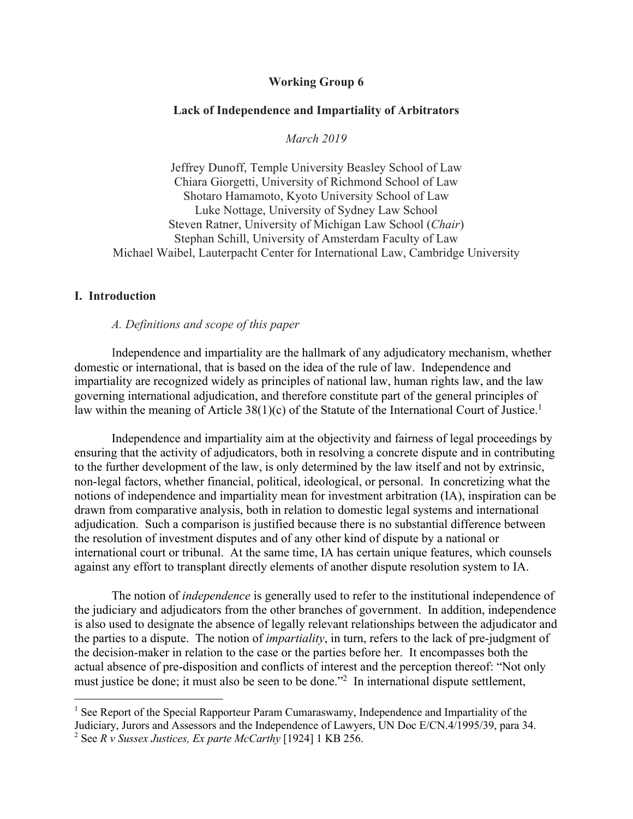#### **Working Group 6**

#### **Lack of Independence and Impartiality of Arbitrators**

*March 2019*

Jeffrey Dunoff, Temple University Beasley School of Law Chiara Giorgetti, University of Richmond School of Law Shotaro Hamamoto, Kyoto University School of Law Luke Nottage, University of Sydney Law School Steven Ratner, University of Michigan Law School (*Chair*) Stephan Schill, University of Amsterdam Faculty of Law Michael Waibel, Lauterpacht Center for International Law, Cambridge University

## **I. Introduction**

 $\overline{a}$ 

*A. Definitions and scope of this paper*

Independence and impartiality are the hallmark of any adjudicatory mechanism, whether domestic or international, that is based on the idea of the rule of law. Independence and impartiality are recognized widely as principles of national law, human rights law, and the law governing international adjudication, and therefore constitute part of the general principles of law within the meaning of Article  $38(1)(c)$  of the Statute of the International Court of Justice.<sup>1</sup>

Independence and impartiality aim at the objectivity and fairness of legal proceedings by ensuring that the activity of adjudicators, both in resolving a concrete dispute and in contributing to the further development of the law, is only determined by the law itself and not by extrinsic, non-legal factors, whether financial, political, ideological, or personal. In concretizing what the notions of independence and impartiality mean for investment arbitration (IA), inspiration can be drawn from comparative analysis, both in relation to domestic legal systems and international adjudication. Such a comparison is justified because there is no substantial difference between the resolution of investment disputes and of any other kind of dispute by a national or international court or tribunal. At the same time, IA has certain unique features, which counsels against any effort to transplant directly elements of another dispute resolution system to IA.

The notion of *independence* is generally used to refer to the institutional independence of the judiciary and adjudicators from the other branches of government. In addition, independence is also used to designate the absence of legally relevant relationships between the adjudicator and the parties to a dispute. The notion of *impartiality*, in turn, refers to the lack of pre-judgment of the decision-maker in relation to the case or the parties before her. It encompasses both the actual absence of pre-disposition and conflicts of interest and the perception thereof: "Not only must justice be done; it must also be seen to be done."2 In international dispute settlement,

 $<sup>1</sup>$  See Report of the Special Rapporteur Param Cumaraswamy, Independence and Impartiality of the</sup> Judiciary, Jurors and Assessors and the Independence of Lawyers, UN Doc E/CN.4/1995/39, para 34. <sup>2</sup> See *R v Sussex Justices, Ex parte McCarthy* [1924] 1 KB 256.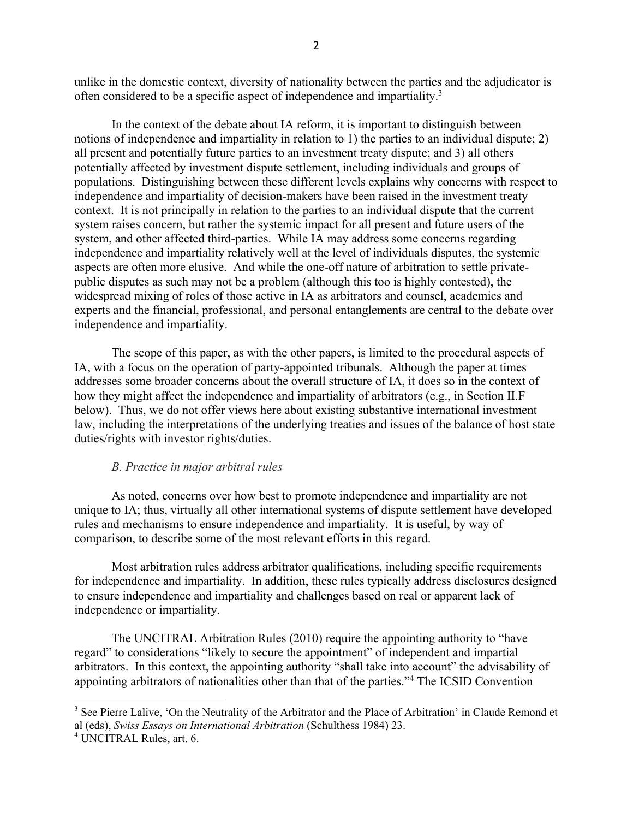unlike in the domestic context, diversity of nationality between the parties and the adjudicator is often considered to be a specific aspect of independence and impartiality.3

In the context of the debate about IA reform, it is important to distinguish between notions of independence and impartiality in relation to 1) the parties to an individual dispute; 2) all present and potentially future parties to an investment treaty dispute; and 3) all others potentially affected by investment dispute settlement, including individuals and groups of populations. Distinguishing between these different levels explains why concerns with respect to independence and impartiality of decision-makers have been raised in the investment treaty context. It is not principally in relation to the parties to an individual dispute that the current system raises concern, but rather the systemic impact for all present and future users of the system, and other affected third-parties. While IA may address some concerns regarding independence and impartiality relatively well at the level of individuals disputes, the systemic aspects are often more elusive. And while the one-off nature of arbitration to settle privatepublic disputes as such may not be a problem (although this too is highly contested), the widespread mixing of roles of those active in IA as arbitrators and counsel, academics and experts and the financial, professional, and personal entanglements are central to the debate over independence and impartiality.

The scope of this paper, as with the other papers, is limited to the procedural aspects of IA, with a focus on the operation of party-appointed tribunals. Although the paper at times addresses some broader concerns about the overall structure of IA, it does so in the context of how they might affect the independence and impartiality of arbitrators (e.g., in Section II.F below). Thus, we do not offer views here about existing substantive international investment law, including the interpretations of the underlying treaties and issues of the balance of host state duties/rights with investor rights/duties.

## *B. Practice in major arbitral rules*

As noted, concerns over how best to promote independence and impartiality are not unique to IA; thus, virtually all other international systems of dispute settlement have developed rules and mechanisms to ensure independence and impartiality. It is useful, by way of comparison, to describe some of the most relevant efforts in this regard.

Most arbitration rules address arbitrator qualifications, including specific requirements for independence and impartiality. In addition, these rules typically address disclosures designed to ensure independence and impartiality and challenges based on real or apparent lack of independence or impartiality.

The UNCITRAL Arbitration Rules (2010) require the appointing authority to "have regard" to considerations "likely to secure the appointment" of independent and impartial arbitrators. In this context, the appointing authority "shall take into account" the advisability of appointing arbitrators of nationalities other than that of the parties."4 The ICSID Convention

<sup>&</sup>lt;sup>3</sup> See Pierre Lalive, 'On the Neutrality of the Arbitrator and the Place of Arbitration' in Claude Remond et al (eds), *Swiss Essays on International Arbitration* (Schulthess 1984) 23.

<sup>4</sup> UNCITRAL Rules, art. 6.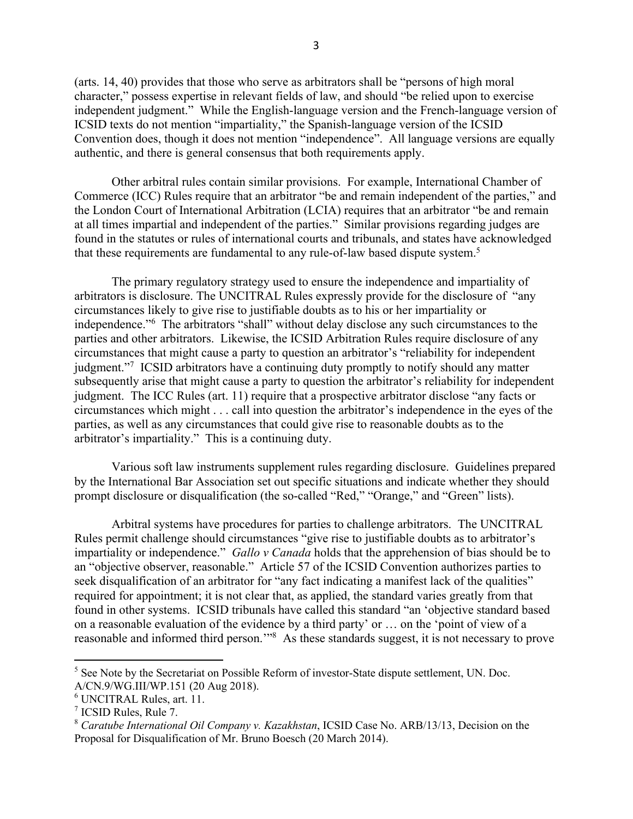(arts. 14, 40) provides that those who serve as arbitrators shall be "persons of high moral character," possess expertise in relevant fields of law, and should "be relied upon to exercise independent judgment." While the English-language version and the French-language version of ICSID texts do not mention "impartiality," the Spanish-language version of the ICSID Convention does, though it does not mention "independence". All language versions are equally authentic, and there is general consensus that both requirements apply.

Other arbitral rules contain similar provisions. For example, International Chamber of Commerce (ICC) Rules require that an arbitrator "be and remain independent of the parties," and the London Court of International Arbitration (LCIA) requires that an arbitrator "be and remain at all times impartial and independent of the parties." Similar provisions regarding judges are found in the statutes or rules of international courts and tribunals, and states have acknowledged that these requirements are fundamental to any rule-of-law based dispute system.<sup>5</sup>

The primary regulatory strategy used to ensure the independence and impartiality of arbitrators is disclosure. The UNCITRAL Rules expressly provide for the disclosure of "any circumstances likely to give rise to justifiable doubts as to his or her impartiality or independence."<sup>6</sup> The arbitrators "shall" without delay disclose any such circumstances to the parties and other arbitrators. Likewise, the ICSID Arbitration Rules require disclosure of any circumstances that might cause a party to question an arbitrator's "reliability for independent judgment."7 ICSID arbitrators have a continuing duty promptly to notify should any matter subsequently arise that might cause a party to question the arbitrator's reliability for independent judgment. The ICC Rules (art. 11) require that a prospective arbitrator disclose "any facts or circumstances which might . . . call into question the arbitrator's independence in the eyes of the parties, as well as any circumstances that could give rise to reasonable doubts as to the arbitrator's impartiality." This is a continuing duty.

Various soft law instruments supplement rules regarding disclosure. Guidelines prepared by the International Bar Association set out specific situations and indicate whether they should prompt disclosure or disqualification (the so-called "Red," "Orange," and "Green" lists).

Arbitral systems have procedures for parties to challenge arbitrators. The UNCITRAL Rules permit challenge should circumstances "give rise to justifiable doubts as to arbitrator's impartiality or independence." *Gallo v Canada* holds that the apprehension of bias should be to an "objective observer, reasonable." Article 57 of the ICSID Convention authorizes parties to seek disqualification of an arbitrator for "any fact indicating a manifest lack of the qualities" required for appointment; it is not clear that, as applied, the standard varies greatly from that found in other systems. ICSID tribunals have called this standard "an 'objective standard based on a reasonable evaluation of the evidence by a third party' or … on the 'point of view of a reasonable and informed third person.'"8 As these standards suggest, it is not necessary to prove

<sup>&</sup>lt;sup>5</sup> See Note by the Secretariat on Possible Reform of investor-State dispute settlement, UN. Doc. A/CN.9/WG.III/WP.151 (20 Aug 2018).

<sup>6</sup> UNCITRAL Rules, art. 11.

<sup>7</sup> ICSID Rules, Rule 7.

<sup>8</sup> *Caratube International Oil Company v. Kazakhstan*, ICSID Case No. ARB/13/13, Decision on the Proposal for Disqualification of Mr. Bruno Boesch (20 March 2014).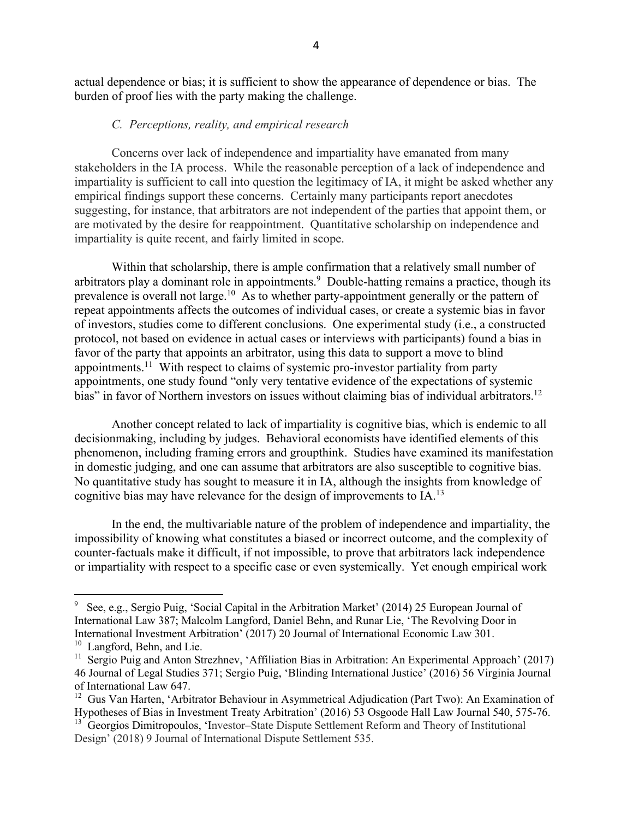actual dependence or bias; it is sufficient to show the appearance of dependence or bias. The burden of proof lies with the party making the challenge.

#### *C. Perceptions, reality, and empirical research*

Concerns over lack of independence and impartiality have emanated from many stakeholders in the IA process. While the reasonable perception of a lack of independence and impartiality is sufficient to call into question the legitimacy of IA, it might be asked whether any empirical findings support these concerns. Certainly many participants report anecdotes suggesting, for instance, that arbitrators are not independent of the parties that appoint them, or are motivated by the desire for reappointment. Quantitative scholarship on independence and impartiality is quite recent, and fairly limited in scope.

Within that scholarship, there is ample confirmation that a relatively small number of arbitrators play a dominant role in appointments.<sup>9</sup> Double-hatting remains a practice, though its prevalence is overall not large.10 As to whether party-appointment generally or the pattern of repeat appointments affects the outcomes of individual cases, or create a systemic bias in favor of investors, studies come to different conclusions. One experimental study (i.e., a constructed protocol, not based on evidence in actual cases or interviews with participants) found a bias in favor of the party that appoints an arbitrator, using this data to support a move to blind appointments.11 With respect to claims of systemic pro-investor partiality from party appointments, one study found "only very tentative evidence of the expectations of systemic bias" in favor of Northern investors on issues without claiming bias of individual arbitrators.<sup>12</sup>

Another concept related to lack of impartiality is cognitive bias, which is endemic to all decisionmaking, including by judges. Behavioral economists have identified elements of this phenomenon, including framing errors and groupthink. Studies have examined its manifestation in domestic judging, and one can assume that arbitrators are also susceptible to cognitive bias. No quantitative study has sought to measure it in IA, although the insights from knowledge of cognitive bias may have relevance for the design of improvements to  $IA$ .<sup>13</sup>

In the end, the multivariable nature of the problem of independence and impartiality, the impossibility of knowing what constitutes a biased or incorrect outcome, and the complexity of counter-factuals make it difficult, if not impossible, to prove that arbitrators lack independence or impartiality with respect to a specific case or even systemically. Yet enough empirical work

<sup>9</sup> See, e.g., Sergio Puig, 'Social Capital in the Arbitration Market' (2014) 25 European Journal of International Law 387; Malcolm Langford, Daniel Behn, and Runar Lie, 'The Revolving Door in International Investment Arbitration' (2017) 20 Journal of International Economic Law 301.<br><sup>10</sup> Langford, Behn, and Lie.

<sup>&</sup>lt;sup>11</sup> Sergio Puig and Anton Strezhnev, 'Affiliation Bias in Arbitration: An Experimental Approach' (2017) 46 Journal of Legal Studies 371; Sergio Puig, 'Blinding International Justice' (2016) 56 Virginia Journal of International Law 647.

<sup>&</sup>lt;sup>12</sup> Gus Van Harten, 'Arbitrator Behaviour in Asymmetrical Adjudication (Part Two): An Examination of Hypotheses of Bias in Investment Treaty Arbitration' (2016) 53 Osgoode Hall Law Journal 540, 575-76.

<sup>&</sup>lt;sup>13</sup> Georgios Dimitropoulos, 'Investor–State Dispute Settlement Reform and Theory of Institutional Design' (2018) 9 Journal of International Dispute Settlement 535.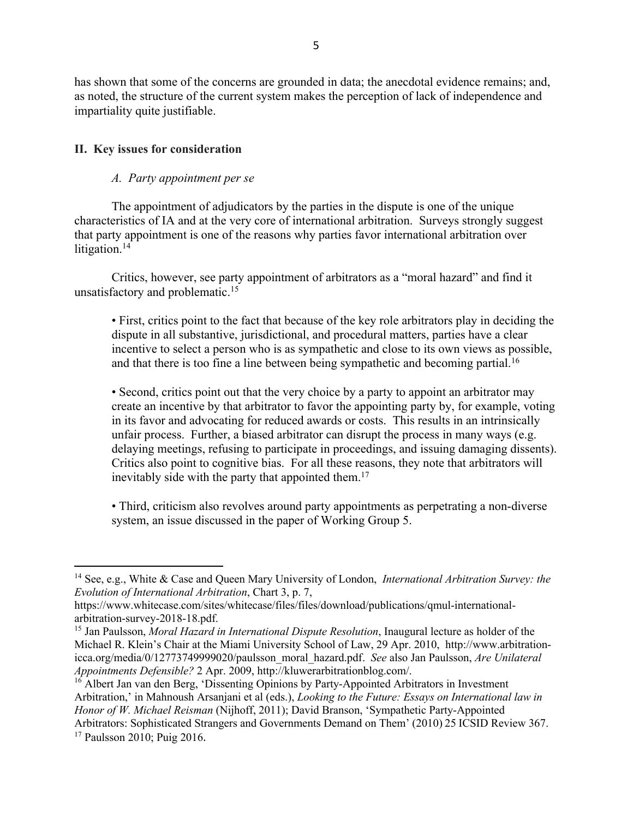has shown that some of the concerns are grounded in data; the anecdotal evidence remains; and, as noted, the structure of the current system makes the perception of lack of independence and impartiality quite justifiable.

## **II. Key issues for consideration**

## *A. Party appointment per se*

The appointment of adjudicators by the parties in the dispute is one of the unique characteristics of IA and at the very core of international arbitration. Surveys strongly suggest that party appointment is one of the reasons why parties favor international arbitration over litigation.<sup>14</sup>

Critics, however, see party appointment of arbitrators as a "moral hazard" and find it unsatisfactory and problematic.<sup>15</sup>

• First, critics point to the fact that because of the key role arbitrators play in deciding the dispute in all substantive, jurisdictional, and procedural matters, parties have a clear incentive to select a person who is as sympathetic and close to its own views as possible, and that there is too fine a line between being sympathetic and becoming partial.<sup>16</sup>

• Second, critics point out that the very choice by a party to appoint an arbitrator may create an incentive by that arbitrator to favor the appointing party by, for example, voting in its favor and advocating for reduced awards or costs. This results in an intrinsically unfair process. Further, a biased arbitrator can disrupt the process in many ways (e.g. delaying meetings, refusing to participate in proceedings, and issuing damaging dissents). Critics also point to cognitive bias. For all these reasons, they note that arbitrators will inevitably side with the party that appointed them.<sup>17</sup>

• Third, criticism also revolves around party appointments as perpetrating a non-diverse system, an issue discussed in the paper of Working Group 5.

<sup>14</sup> See, e.g., White & Case and Queen Mary University of London, *International Arbitration Survey: the Evolution of International Arbitration*, Chart 3, p. 7,

https://www.whitecase.com/sites/whitecase/files/files/download/publications/qmul-internationalarbitration-survey-2018-18.pdf.<br><sup>15</sup> Jan Paulsson, *Moral Hazard in International Dispute Resolution*, Inaugural lecture as holder of the

Michael R. Klein's Chair at the Miami University School of Law, 29 Apr. 2010, http://www.arbitrationicca.org/media/0/12773749999020/paulsson\_moral\_hazard.pdf. *See* also Jan Paulsson, *Are Unilateral Appointments Defensible?* 2 Apr. 2009, http://kluwerarbitrationblog.com/.

<sup>&</sup>lt;sup>16</sup> Albert Jan van den Berg, 'Dissenting Opinions by Party-Appointed Arbitrators in Investment Arbitration,' in Mahnoush Arsanjani et al (eds.), *Looking to the Future: Essays on International law in Honor of W. Michael Reisman* (Nijhoff, 2011); David Branson, 'Sympathetic Party-Appointed Arbitrators: Sophisticated Strangers and Governments Demand on Them' (2010) 25 ICSID Review 367.

<sup>&</sup>lt;sup>17</sup> Paulsson 2010; Puig 2016.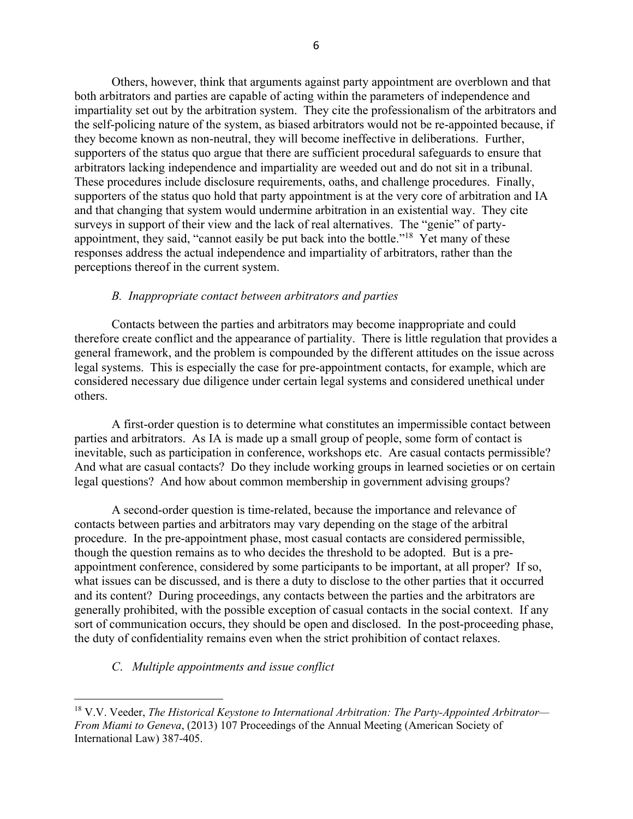Others, however, think that arguments against party appointment are overblown and that both arbitrators and parties are capable of acting within the parameters of independence and impartiality set out by the arbitration system. They cite the professionalism of the arbitrators and the self-policing nature of the system, as biased arbitrators would not be re-appointed because, if they become known as non-neutral, they will become ineffective in deliberations. Further, supporters of the status quo argue that there are sufficient procedural safeguards to ensure that arbitrators lacking independence and impartiality are weeded out and do not sit in a tribunal. These procedures include disclosure requirements, oaths, and challenge procedures. Finally, supporters of the status quo hold that party appointment is at the very core of arbitration and IA and that changing that system would undermine arbitration in an existential way. They cite surveys in support of their view and the lack of real alternatives. The "genie" of partyappointment, they said, "cannot easily be put back into the bottle."18 Yet many of these responses address the actual independence and impartiality of arbitrators, rather than the perceptions thereof in the current system.

#### *B. Inappropriate contact between arbitrators and parties*

Contacts between the parties and arbitrators may become inappropriate and could therefore create conflict and the appearance of partiality. There is little regulation that provides a general framework, and the problem is compounded by the different attitudes on the issue across legal systems. This is especially the case for pre-appointment contacts, for example, which are considered necessary due diligence under certain legal systems and considered unethical under others.

A first-order question is to determine what constitutes an impermissible contact between parties and arbitrators. As IA is made up a small group of people, some form of contact is inevitable, such as participation in conference, workshops etc. Are casual contacts permissible? And what are casual contacts? Do they include working groups in learned societies or on certain legal questions? And how about common membership in government advising groups?

A second-order question is time-related, because the importance and relevance of contacts between parties and arbitrators may vary depending on the stage of the arbitral procedure. In the pre-appointment phase, most casual contacts are considered permissible, though the question remains as to who decides the threshold to be adopted. But is a preappointment conference, considered by some participants to be important, at all proper? If so, what issues can be discussed, and is there a duty to disclose to the other parties that it occurred and its content? During proceedings, any contacts between the parties and the arbitrators are generally prohibited, with the possible exception of casual contacts in the social context. If any sort of communication occurs, they should be open and disclosed. In the post-proceeding phase, the duty of confidentiality remains even when the strict prohibition of contact relaxes.

## *C*. *Multiple appointments and issue conflict*

<sup>18</sup> V.V. Veeder, *The Historical Keystone to International Arbitration: The Party-Appointed Arbitrator— From Miami to Geneva*, (2013) 107 Proceedings of the Annual Meeting (American Society of International Law) 387-405.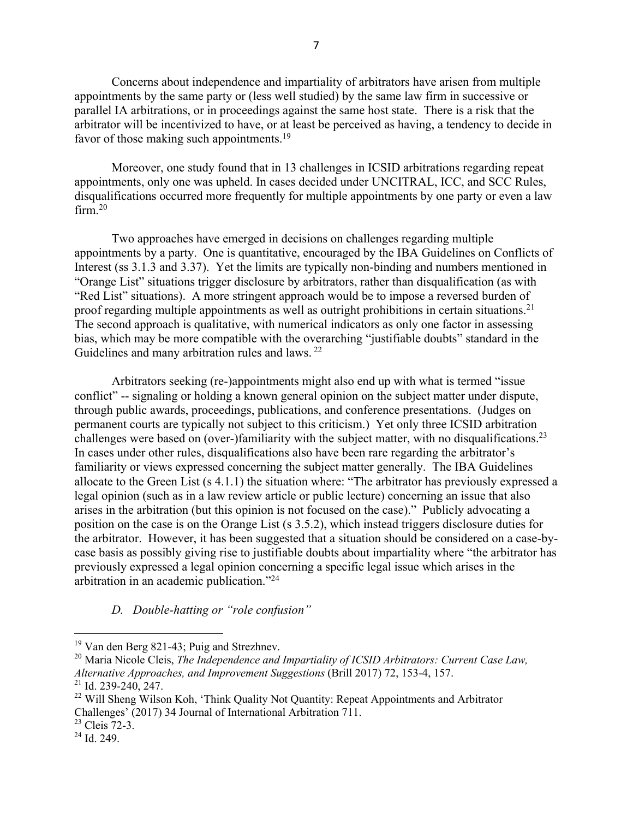Concerns about independence and impartiality of arbitrators have arisen from multiple appointments by the same party or (less well studied) by the same law firm in successive or parallel IA arbitrations, or in proceedings against the same host state. There is a risk that the arbitrator will be incentivized to have, or at least be perceived as having, a tendency to decide in favor of those making such appointments.<sup>19</sup>

Moreover, one study found that in 13 challenges in ICSID arbitrations regarding repeat appointments, only one was upheld. In cases decided under UNCITRAL, ICC, and SCC Rules, disqualifications occurred more frequently for multiple appointments by one party or even a law  $firm<sub>1</sub><sup>20</sup>$ 

Two approaches have emerged in decisions on challenges regarding multiple appointments by a party. One is quantitative, encouraged by the IBA Guidelines on Conflicts of Interest (ss 3.1.3 and 3.37). Yet the limits are typically non-binding and numbers mentioned in "Orange List" situations trigger disclosure by arbitrators, rather than disqualification (as with "Red List" situations). A more stringent approach would be to impose a reversed burden of proof regarding multiple appointments as well as outright prohibitions in certain situations.<sup>21</sup> The second approach is qualitative, with numerical indicators as only one factor in assessing bias, which may be more compatible with the overarching "justifiable doubts" standard in the Guidelines and many arbitration rules and laws.<sup>22</sup>

Arbitrators seeking (re-)appointments might also end up with what is termed "issue conflict" -- signaling or holding a known general opinion on the subject matter under dispute, through public awards, proceedings, publications, and conference presentations. (Judges on permanent courts are typically not subject to this criticism.) Yet only three ICSID arbitration challenges were based on (over-)familiarity with the subject matter, with no disqualifications.<sup>23</sup> In cases under other rules, disqualifications also have been rare regarding the arbitrator's familiarity or views expressed concerning the subject matter generally. The IBA Guidelines allocate to the Green List (s 4.1.1) the situation where: "The arbitrator has previously expressed a legal opinion (such as in a law review article or public lecture) concerning an issue that also arises in the arbitration (but this opinion is not focused on the case)." Publicly advocating a position on the case is on the Orange List (s 3.5.2), which instead triggers disclosure duties for the arbitrator. However, it has been suggested that a situation should be considered on a case-bycase basis as possibly giving rise to justifiable doubts about impartiality where "the arbitrator has previously expressed a legal opinion concerning a specific legal issue which arises in the arbitration in an academic publication."24

## *D. Double-hatting or "role confusion"*

<sup>&</sup>lt;sup>19</sup> Van den Berg 821-43; Puig and Strezhnev.

<sup>20</sup> Maria Nicole Cleis, *The Independence and Impartiality of ICSID Arbitrators: Current Case Law, Alternative Approaches, and Improvement Suggestions* (Brill 2017) 72, 153-4, 157.

<sup>21</sup> Id. 239-240, 247.

<sup>&</sup>lt;sup>22</sup> Will Sheng Wilson Koh, 'Think Quality Not Quantity: Repeat Appointments and Arbitrator Challenges' (2017) 34 Journal of International Arbitration 711.

<sup>23</sup> Cleis 72-3.

 $24$  Id. 249.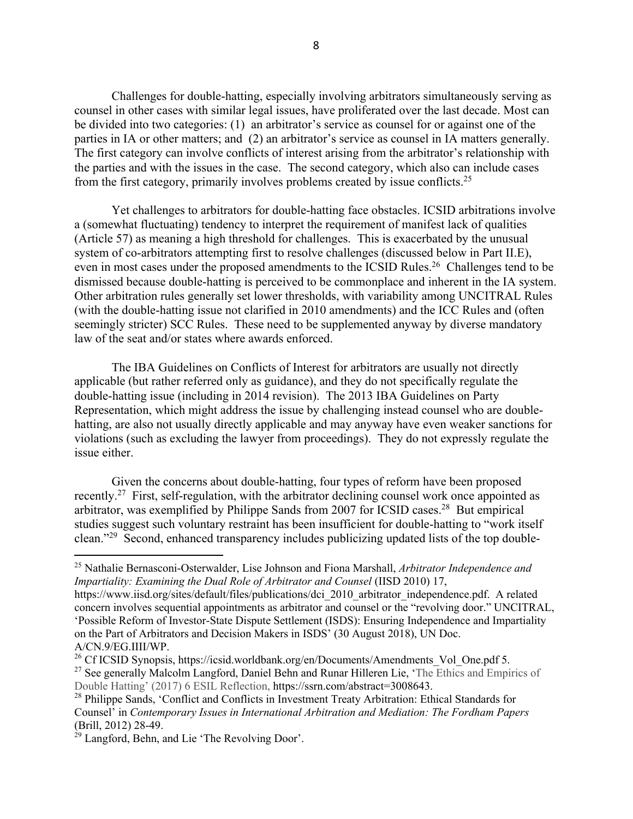Challenges for double-hatting, especially involving arbitrators simultaneously serving as counsel in other cases with similar legal issues, have proliferated over the last decade. Most can be divided into two categories: (1) an arbitrator's service as counsel for or against one of the parties in IA or other matters; and (2) an arbitrator's service as counsel in IA matters generally. The first category can involve conflicts of interest arising from the arbitrator's relationship with the parties and with the issues in the case. The second category, which also can include cases from the first category, primarily involves problems created by issue conflicts.25

Yet challenges to arbitrators for double-hatting face obstacles. ICSID arbitrations involve a (somewhat fluctuating) tendency to interpret the requirement of manifest lack of qualities (Article 57) as meaning a high threshold for challenges. This is exacerbated by the unusual system of co-arbitrators attempting first to resolve challenges (discussed below in Part II.E), even in most cases under the proposed amendments to the ICSID Rules.<sup>26</sup> Challenges tend to be dismissed because double-hatting is perceived to be commonplace and inherent in the IA system. Other arbitration rules generally set lower thresholds, with variability among UNCITRAL Rules (with the double-hatting issue not clarified in 2010 amendments) and the ICC Rules and (often seemingly stricter) SCC Rules. These need to be supplemented anyway by diverse mandatory law of the seat and/or states where awards enforced.

The IBA Guidelines on Conflicts of Interest for arbitrators are usually not directly applicable (but rather referred only as guidance), and they do not specifically regulate the double-hatting issue (including in 2014 revision). The 2013 IBA Guidelines on Party Representation, which might address the issue by challenging instead counsel who are doublehatting, are also not usually directly applicable and may anyway have even weaker sanctions for violations (such as excluding the lawyer from proceedings). They do not expressly regulate the issue either.

Given the concerns about double-hatting, four types of reform have been proposed recently.27 First, self-regulation, with the arbitrator declining counsel work once appointed as arbitrator, was exemplified by Philippe Sands from 2007 for ICSID cases.<sup>28</sup> But empirical studies suggest such voluntary restraint has been insufficient for double-hatting to "work itself clean."29 Second, enhanced transparency includes publicizing updated lists of the top double-

<sup>25</sup> Nathalie Bernasconi-Osterwalder, Lise Johnson and Fiona Marshall, *Arbitrator Independence and Impartiality: Examining the Dual Role of Arbitrator and Counsel* (IISD 2010) 17,

https://www.iisd.org/sites/default/files/publications/dci\_2010\_arbitrator\_independence.pdf. A related concern involves sequential appointments as arbitrator and counsel or the "revolving door." UNCITRAL, 'Possible Reform of Investor-State Dispute Settlement (ISDS): Ensuring Independence and Impartiality on the Part of Arbitrators and Decision Makers in ISDS' (30 August 2018), UN Doc. A/CN.9/EG.IIII/WP.

<sup>&</sup>lt;sup>26</sup> Cf ICSID Synopsis, https://icsid.worldbank.org/en/Documents/Amendments Vol One.pdf 5.

<sup>&</sup>lt;sup>27</sup> See generally Malcolm Langford, Daniel Behn and Runar Hilleren Lie, 'The Ethics and Empirics of Double Hatting' (2017) 6 ESIL Reflection, https://ssrn.com/abstract=3008643.

<sup>&</sup>lt;sup>28</sup> Philippe Sands, 'Conflict and Conflicts in Investment Treaty Arbitration: Ethical Standards for Counsel' in *Contemporary Issues in International Arbitration and Mediation: The Fordham Papers*  (Brill, 2012) 28-49.

<sup>&</sup>lt;sup>29</sup> Langford, Behn, and Lie 'The Revolving Door'.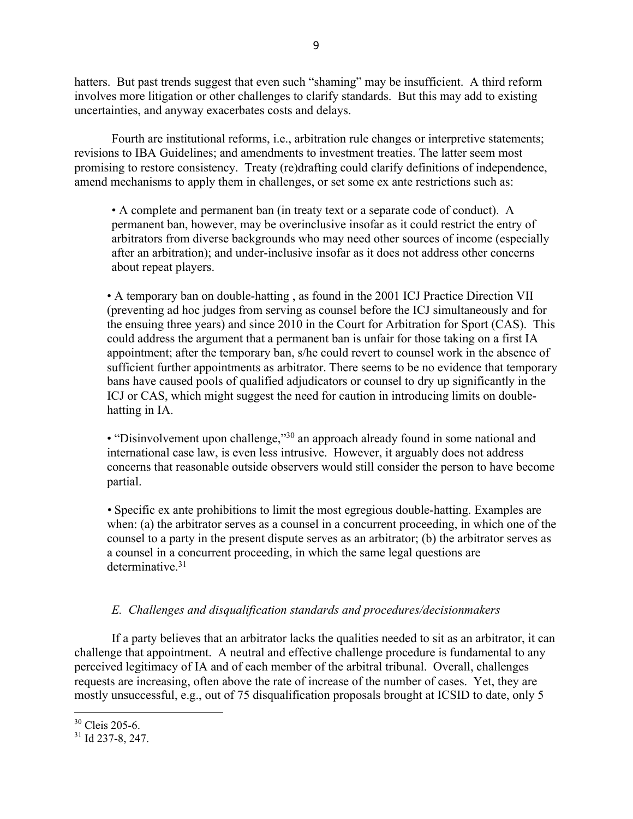hatters. But past trends suggest that even such "shaming" may be insufficient. A third reform involves more litigation or other challenges to clarify standards. But this may add to existing uncertainties, and anyway exacerbates costs and delays.

Fourth are institutional reforms, i.e., arbitration rule changes or interpretive statements; revisions to IBA Guidelines; and amendments to investment treaties. The latter seem most promising to restore consistency. Treaty (re)drafting could clarify definitions of independence, amend mechanisms to apply them in challenges, or set some ex ante restrictions such as:

• A complete and permanent ban (in treaty text or a separate code of conduct). A permanent ban, however, may be overinclusive insofar as it could restrict the entry of arbitrators from diverse backgrounds who may need other sources of income (especially after an arbitration); and under-inclusive insofar as it does not address other concerns about repeat players.

• A temporary ban on double-hatting , as found in the 2001 ICJ Practice Direction VII (preventing ad hoc judges from serving as counsel before the ICJ simultaneously and for the ensuing three years) and since 2010 in the Court for Arbitration for Sport (CAS). This could address the argument that a permanent ban is unfair for those taking on a first IA appointment; after the temporary ban, s/he could revert to counsel work in the absence of sufficient further appointments as arbitrator. There seems to be no evidence that temporary bans have caused pools of qualified adjudicators or counsel to dry up significantly in the ICJ or CAS, which might suggest the need for caution in introducing limits on doublehatting in IA.

• "Disinvolvement upon challenge,"<sup>30</sup> an approach already found in some national and international case law, is even less intrusive. However, it arguably does not address concerns that reasonable outside observers would still consider the person to have become partial.

*•* Specific ex ante prohibitions to limit the most egregious double-hatting. Examples are when: (a) the arbitrator serves as a counsel in a concurrent proceeding, in which one of the counsel to a party in the present dispute serves as an arbitrator; (b) the arbitrator serves as a counsel in a concurrent proceeding, in which the same legal questions are determinative.<sup>31</sup>

## *E. Challenges and disqualification standards and procedures/decisionmakers*

If a party believes that an arbitrator lacks the qualities needed to sit as an arbitrator, it can challenge that appointment. A neutral and effective challenge procedure is fundamental to any perceived legitimacy of IA and of each member of the arbitral tribunal. Overall, challenges requests are increasing, often above the rate of increase of the number of cases. Yet, they are mostly unsuccessful, e.g., out of 75 disqualification proposals brought at ICSID to date, only 5

<sup>&</sup>lt;sup>30</sup> Cleis 205-6.

 $31$  Id 237-8, 247.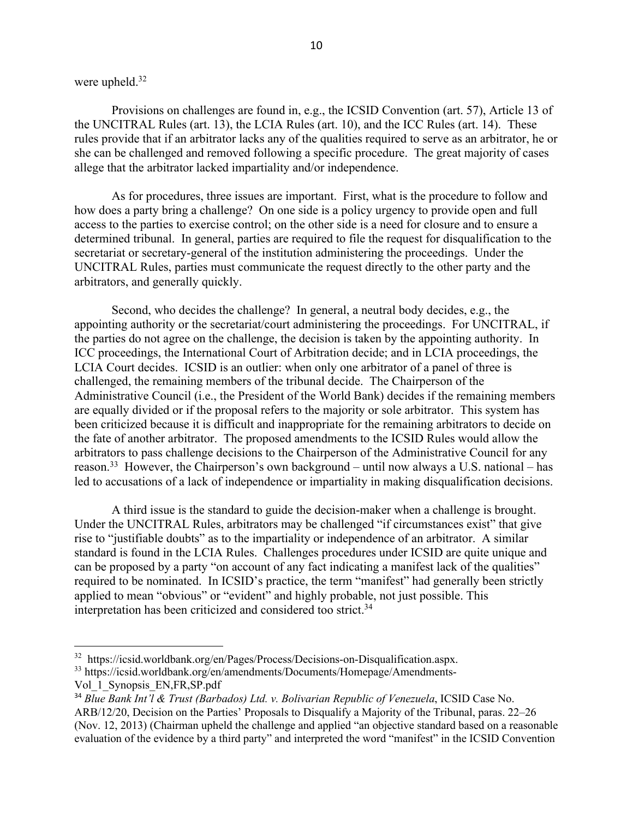## were upheld.32

 $\overline{a}$ 

Provisions on challenges are found in, e.g., the ICSID Convention (art. 57), Article 13 of the UNCITRAL Rules (art. 13), the LCIA Rules (art. 10), and the ICC Rules (art. 14). These rules provide that if an arbitrator lacks any of the qualities required to serve as an arbitrator, he or she can be challenged and removed following a specific procedure. The great majority of cases allege that the arbitrator lacked impartiality and/or independence.

As for procedures, three issues are important. First, what is the procedure to follow and how does a party bring a challenge? On one side is a policy urgency to provide open and full access to the parties to exercise control; on the other side is a need for closure and to ensure a determined tribunal. In general, parties are required to file the request for disqualification to the secretariat or secretary-general of the institution administering the proceedings. Under the UNCITRAL Rules, parties must communicate the request directly to the other party and the arbitrators, and generally quickly.

Second, who decides the challenge? In general, a neutral body decides, e.g., the appointing authority or the secretariat/court administering the proceedings. For UNCITRAL, if the parties do not agree on the challenge, the decision is taken by the appointing authority. In ICC proceedings, the International Court of Arbitration decide; and in LCIA proceedings, the LCIA Court decides. ICSID is an outlier: when only one arbitrator of a panel of three is challenged, the remaining members of the tribunal decide. The Chairperson of the Administrative Council (i.e., the President of the World Bank) decides if the remaining members are equally divided or if the proposal refers to the majority or sole arbitrator. This system has been criticized because it is difficult and inappropriate for the remaining arbitrators to decide on the fate of another arbitrator. The proposed amendments to the ICSID Rules would allow the arbitrators to pass challenge decisions to the Chairperson of the Administrative Council for any reason.<sup>33</sup> However, the Chairperson's own background – until now always a U.S. national – has led to accusations of a lack of independence or impartiality in making disqualification decisions.

A third issue is the standard to guide the decision-maker when a challenge is brought. Under the UNCITRAL Rules, arbitrators may be challenged "if circumstances exist" that give rise to "justifiable doubts" as to the impartiality or independence of an arbitrator. A similar standard is found in the LCIA Rules. Challenges procedures under ICSID are quite unique and can be proposed by a party "on account of any fact indicating a manifest lack of the qualities" required to be nominated. In ICSID's practice, the term "manifest" had generally been strictly applied to mean "obvious" or "evident" and highly probable, not just possible. This interpretation has been criticized and considered too strict.<sup>34</sup>

<sup>32</sup> https://icsid.worldbank.org/en/Pages/Process/Decisions-on-Disqualification.aspx.

<sup>&</sup>lt;sup>33</sup> https://icsid.worldbank.org/en/amendments/Documents/Homepage/Amendments-Vol\_1\_Synopsis\_EN,FR,SP.pdf

<sup>34</sup> *Blue Bank Int'l & Trust (Barbados) Ltd. v. Bolivarian Republic of Venezuela*, ICSID Case No. ARB/12/20, Decision on the Parties' Proposals to Disqualify a Majority of the Tribunal, paras. 22–26 (Nov. 12, 2013) (Chairman upheld the challenge and applied "an objective standard based on a reasonable evaluation of the evidence by a third party" and interpreted the word "manifest" in the ICSID Convention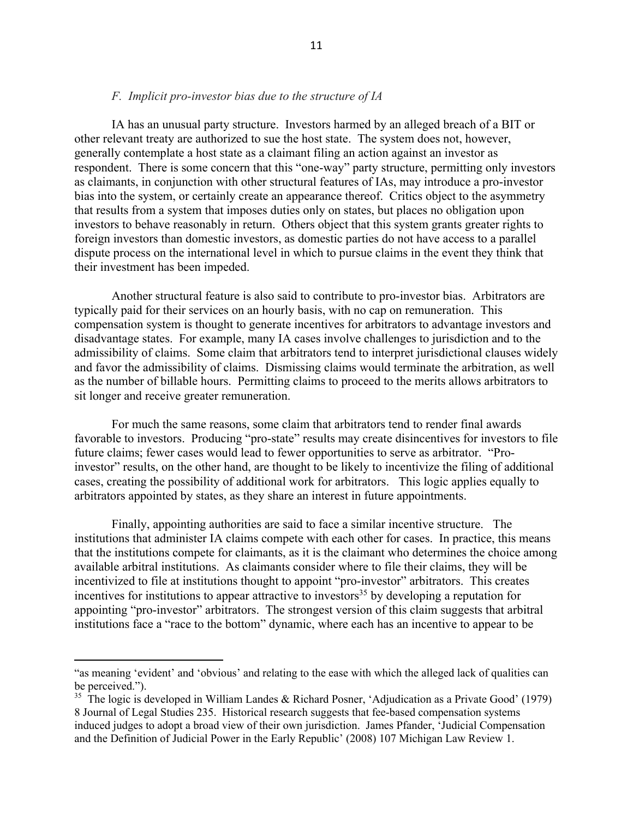#### *F. Implicit pro-investor bias due to the structure of IA*

IA has an unusual party structure. Investors harmed by an alleged breach of a BIT or other relevant treaty are authorized to sue the host state. The system does not, however, generally contemplate a host state as a claimant filing an action against an investor as respondent. There is some concern that this "one-way" party structure, permitting only investors as claimants, in conjunction with other structural features of IAs, may introduce a pro-investor bias into the system, or certainly create an appearance thereof. Critics object to the asymmetry that results from a system that imposes duties only on states, but places no obligation upon investors to behave reasonably in return. Others object that this system grants greater rights to foreign investors than domestic investors, as domestic parties do not have access to a parallel dispute process on the international level in which to pursue claims in the event they think that their investment has been impeded.

Another structural feature is also said to contribute to pro-investor bias. Arbitrators are typically paid for their services on an hourly basis, with no cap on remuneration. This compensation system is thought to generate incentives for arbitrators to advantage investors and disadvantage states. For example, many IA cases involve challenges to jurisdiction and to the admissibility of claims. Some claim that arbitrators tend to interpret jurisdictional clauses widely and favor the admissibility of claims. Dismissing claims would terminate the arbitration, as well as the number of billable hours. Permitting claims to proceed to the merits allows arbitrators to sit longer and receive greater remuneration.

For much the same reasons, some claim that arbitrators tend to render final awards favorable to investors. Producing "pro-state" results may create disincentives for investors to file future claims; fewer cases would lead to fewer opportunities to serve as arbitrator. "Proinvestor" results, on the other hand, are thought to be likely to incentivize the filing of additional cases, creating the possibility of additional work for arbitrators. This logic applies equally to arbitrators appointed by states, as they share an interest in future appointments.

Finally, appointing authorities are said to face a similar incentive structure. The institutions that administer IA claims compete with each other for cases. In practice, this means that the institutions compete for claimants, as it is the claimant who determines the choice among available arbitral institutions. As claimants consider where to file their claims, they will be incentivized to file at institutions thought to appoint "pro-investor" arbitrators. This creates incentives for institutions to appear attractive to investors<sup>35</sup> by developing a reputation for appointing "pro-investor" arbitrators. The strongest version of this claim suggests that arbitral institutions face a "race to the bottom" dynamic, where each has an incentive to appear to be

<sup>&</sup>quot;as meaning 'evident' and 'obvious' and relating to the ease with which the alleged lack of qualities can be perceived.").

<sup>&</sup>lt;sup>35</sup> The logic is developed in William Landes & Richard Posner, 'Adjudication as a Private Good' (1979) 8 Journal of Legal Studies 235. Historical research suggests that fee-based compensation systems induced judges to adopt a broad view of their own jurisdiction. James Pfander, 'Judicial Compensation and the Definition of Judicial Power in the Early Republic' (2008) 107 Michigan Law Review 1.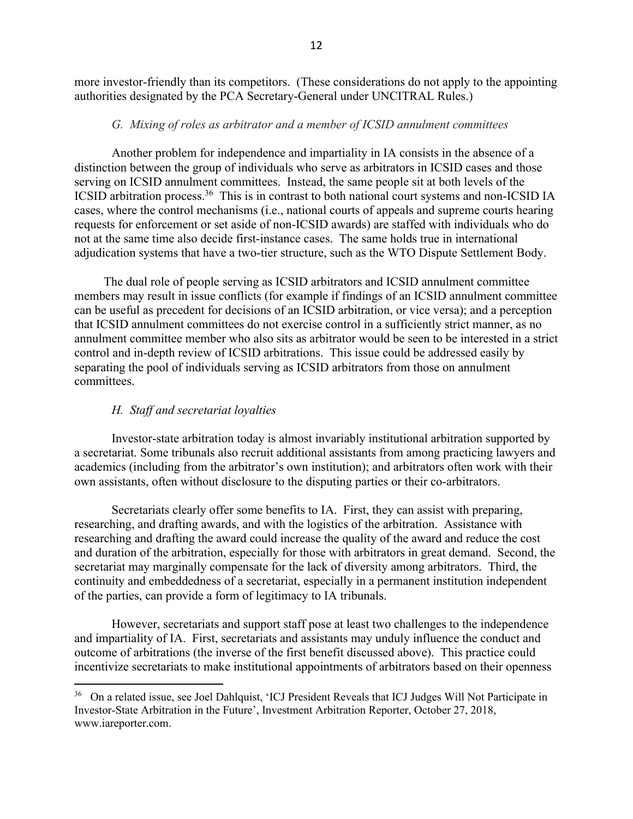more investor-friendly than its competitors. (These considerations do not apply to the appointing authorities designated by the PCA Secretary-General under UNCITRAL Rules.)

#### *G. Mixing of roles as arbitrator and a member of ICSID annulment committees*

Another problem for independence and impartiality in IA consists in the absence of a distinction between the group of individuals who serve as arbitrators in ICSID cases and those serving on ICSID annulment committees. Instead, the same people sit at both levels of the ICSID arbitration process.<sup>36</sup> This is in contrast to both national court systems and non-ICSID IA cases, where the control mechanisms (i.e., national courts of appeals and supreme courts hearing requests for enforcement or set aside of non-ICSID awards) are staffed with individuals who do not at the same time also decide first-instance cases. The same holds true in international adjudication systems that have a two-tier structure, such as the WTO Dispute Settlement Body.

The dual role of people serving as ICSID arbitrators and ICSID annulment committee members may result in issue conflicts (for example if findings of an ICSID annulment committee can be useful as precedent for decisions of an ICSID arbitration, or vice versa); and a perception that ICSID annulment committees do not exercise control in a sufficiently strict manner, as no annulment committee member who also sits as arbitrator would be seen to be interested in a strict control and in-depth review of ICSID arbitrations. This issue could be addressed easily by separating the pool of individuals serving as ICSID arbitrators from those on annulment committees.

#### *H. Staff and secretariat loyalties*

 $\overline{a}$ 

Investor-state arbitration today is almost invariably institutional arbitration supported by a secretariat. Some tribunals also recruit additional assistants from among practicing lawyers and academics (including from the arbitrator's own institution); and arbitrators often work with their own assistants, often without disclosure to the disputing parties or their co-arbitrators.

Secretariats clearly offer some benefits to IA. First, they can assist with preparing, researching, and drafting awards, and with the logistics of the arbitration. Assistance with researching and drafting the award could increase the quality of the award and reduce the cost and duration of the arbitration, especially for those with arbitrators in great demand. Second, the secretariat may marginally compensate for the lack of diversity among arbitrators. Third, the continuity and embeddedness of a secretariat, especially in a permanent institution independent of the parties, can provide a form of legitimacy to IA tribunals.

However, secretariats and support staff pose at least two challenges to the independence and impartiality of IA. First, secretariats and assistants may unduly influence the conduct and outcome of arbitrations (the inverse of the first benefit discussed above). This practice could incentivize secretariats to make institutional appointments of arbitrators based on their openness

<sup>&</sup>lt;sup>36</sup> On a related issue, see Joel Dahlquist, 'ICJ President Reveals that ICJ Judges Will Not Participate in Investor-State Arbitration in the Future', Investment Arbitration Reporter, October 27, 2018, www.iareporter.com.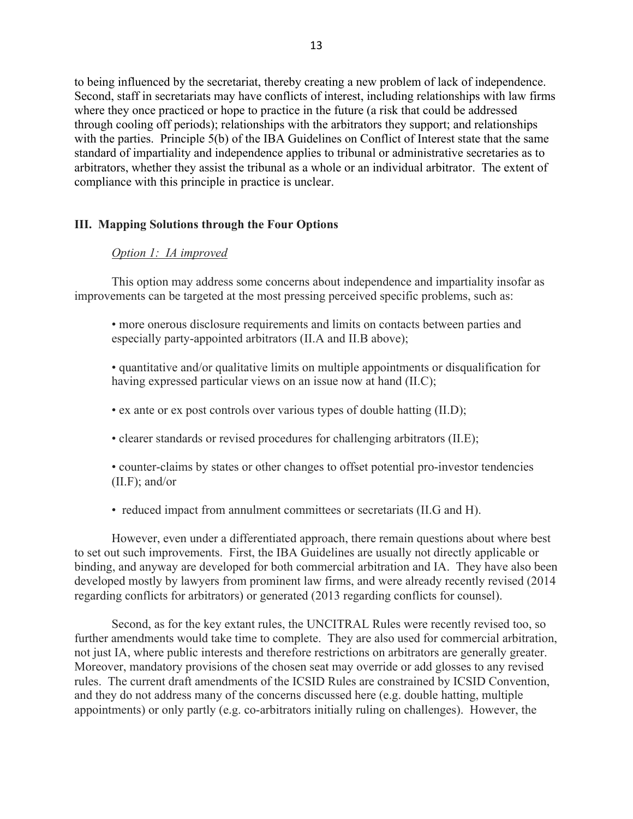to being influenced by the secretariat, thereby creating a new problem of lack of independence. Second, staff in secretariats may have conflicts of interest, including relationships with law firms where they once practiced or hope to practice in the future (a risk that could be addressed through cooling off periods); relationships with the arbitrators they support; and relationships with the parties. Principle 5(b) of the IBA Guidelines on Conflict of Interest state that the same standard of impartiality and independence applies to tribunal or administrative secretaries as to arbitrators, whether they assist the tribunal as a whole or an individual arbitrator. The extent of compliance with this principle in practice is unclear.

#### **III. Mapping Solutions through the Four Options**

#### *Option 1: IA improved*

This option may address some concerns about independence and impartiality insofar as improvements can be targeted at the most pressing perceived specific problems, such as:

• more onerous disclosure requirements and limits on contacts between parties and especially party-appointed arbitrators (II.A and II.B above);

• quantitative and/or qualitative limits on multiple appointments or disqualification for having expressed particular views on an issue now at hand (II.C);

• ex ante or ex post controls over various types of double hatting (II.D);

• clearer standards or revised procedures for challenging arbitrators (II.E);

• counter-claims by states or other changes to offset potential pro-investor tendencies (II.F); and/or

• reduced impact from annulment committees or secretariats (II.G and H).

However, even under a differentiated approach, there remain questions about where best to set out such improvements. First, the IBA Guidelines are usually not directly applicable or binding, and anyway are developed for both commercial arbitration and IA. They have also been developed mostly by lawyers from prominent law firms, and were already recently revised (2014 regarding conflicts for arbitrators) or generated (2013 regarding conflicts for counsel).

Second, as for the key extant rules, the UNCITRAL Rules were recently revised too, so further amendments would take time to complete. They are also used for commercial arbitration, not just IA, where public interests and therefore restrictions on arbitrators are generally greater. Moreover, mandatory provisions of the chosen seat may override or add glosses to any revised rules. The current draft amendments of the ICSID Rules are constrained by ICSID Convention, and they do not address many of the concerns discussed here (e.g. double hatting, multiple appointments) or only partly (e.g. co-arbitrators initially ruling on challenges). However, the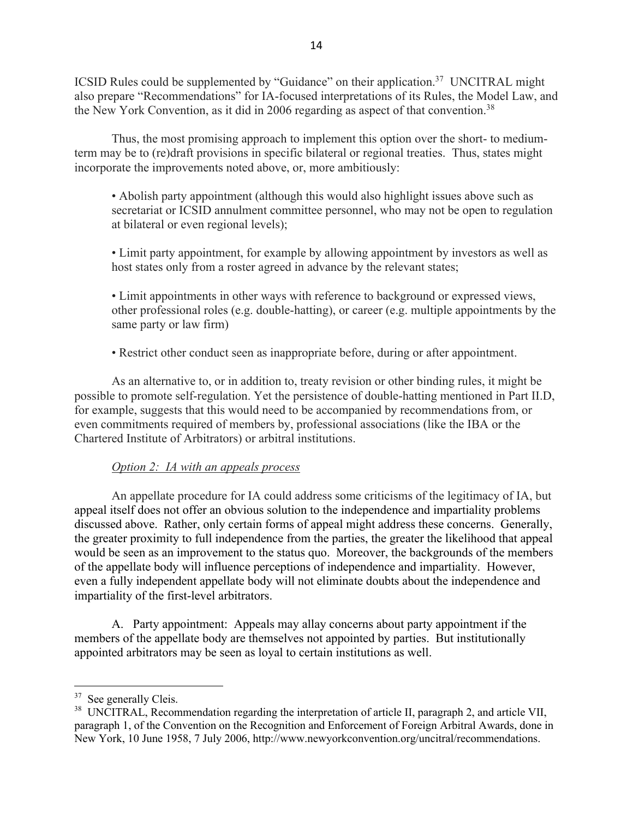ICSID Rules could be supplemented by "Guidance" on their application.37 UNCITRAL might also prepare "Recommendations" for IA-focused interpretations of its Rules, the Model Law, and the New York Convention, as it did in 2006 regarding as aspect of that convention.<sup>38</sup>

Thus, the most promising approach to implement this option over the short- to mediumterm may be to (re)draft provisions in specific bilateral or regional treaties. Thus, states might incorporate the improvements noted above, or, more ambitiously:

• Abolish party appointment (although this would also highlight issues above such as secretariat or ICSID annulment committee personnel, who may not be open to regulation at bilateral or even regional levels);

• Limit party appointment, for example by allowing appointment by investors as well as host states only from a roster agreed in advance by the relevant states;

• Limit appointments in other ways with reference to background or expressed views, other professional roles (e.g. double-hatting), or career (e.g. multiple appointments by the same party or law firm)

• Restrict other conduct seen as inappropriate before, during or after appointment.

As an alternative to, or in addition to, treaty revision or other binding rules, it might be possible to promote self-regulation. Yet the persistence of double-hatting mentioned in Part II.D, for example, suggests that this would need to be accompanied by recommendations from, or even commitments required of members by, professional associations (like the IBA or the Chartered Institute of Arbitrators) or arbitral institutions.

## *Option 2: IA with an appeals process*

An appellate procedure for IA could address some criticisms of the legitimacy of IA, but appeal itself does not offer an obvious solution to the independence and impartiality problems discussed above. Rather, only certain forms of appeal might address these concerns. Generally, the greater proximity to full independence from the parties, the greater the likelihood that appeal would be seen as an improvement to the status quo. Moreover, the backgrounds of the members of the appellate body will influence perceptions of independence and impartiality. However, even a fully independent appellate body will not eliminate doubts about the independence and impartiality of the first-level arbitrators.

A. Party appointment: Appeals may allay concerns about party appointment if the members of the appellate body are themselves not appointed by parties. But institutionally appointed arbitrators may be seen as loyal to certain institutions as well.

<sup>&</sup>lt;sup>37</sup> See generally Cleis.

<sup>&</sup>lt;sup>38</sup> UNCITRAL, Recommendation regarding the interpretation of article II, paragraph 2, and article VII, paragraph 1, of the Convention on the Recognition and Enforcement of Foreign Arbitral Awards, done in New York, 10 June 1958, 7 July 2006, http://www.newyorkconvention.org/uncitral/recommendations.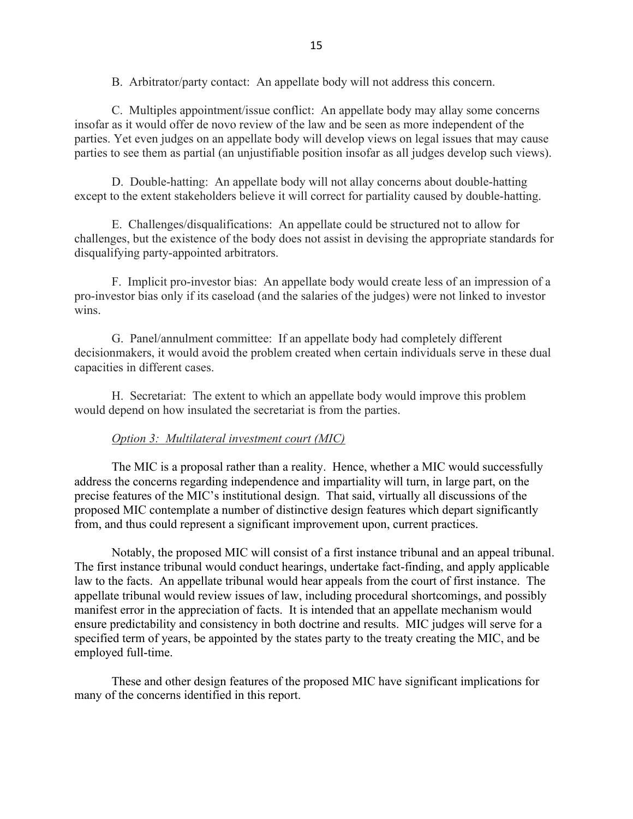B. Arbitrator/party contact: An appellate body will not address this concern.

C. Multiples appointment/issue conflict: An appellate body may allay some concerns insofar as it would offer de novo review of the law and be seen as more independent of the parties. Yet even judges on an appellate body will develop views on legal issues that may cause parties to see them as partial (an unjustifiable position insofar as all judges develop such views).

D. Double-hatting: An appellate body will not allay concerns about double-hatting except to the extent stakeholders believe it will correct for partiality caused by double-hatting.

E. Challenges/disqualifications: An appellate could be structured not to allow for challenges, but the existence of the body does not assist in devising the appropriate standards for disqualifying party-appointed arbitrators.

F. Implicit pro-investor bias: An appellate body would create less of an impression of a pro-investor bias only if its caseload (and the salaries of the judges) were not linked to investor wins.

G. Panel/annulment committee: If an appellate body had completely different decisionmakers, it would avoid the problem created when certain individuals serve in these dual capacities in different cases.

H. Secretariat: The extent to which an appellate body would improve this problem would depend on how insulated the secretariat is from the parties.

## *Option 3: Multilateral investment court (MIC)*

The MIC is a proposal rather than a reality. Hence, whether a MIC would successfully address the concerns regarding independence and impartiality will turn, in large part, on the precise features of the MIC's institutional design. That said, virtually all discussions of the proposed MIC contemplate a number of distinctive design features which depart significantly from, and thus could represent a significant improvement upon, current practices.

Notably, the proposed MIC will consist of a first instance tribunal and an appeal tribunal. The first instance tribunal would conduct hearings, undertake fact-finding, and apply applicable law to the facts. An appellate tribunal would hear appeals from the court of first instance. The appellate tribunal would review issues of law, including procedural shortcomings, and possibly manifest error in the appreciation of facts. It is intended that an appellate mechanism would ensure predictability and consistency in both doctrine and results. MIC judges will serve for a specified term of years, be appointed by the states party to the treaty creating the MIC, and be employed full-time.

These and other design features of the proposed MIC have significant implications for many of the concerns identified in this report.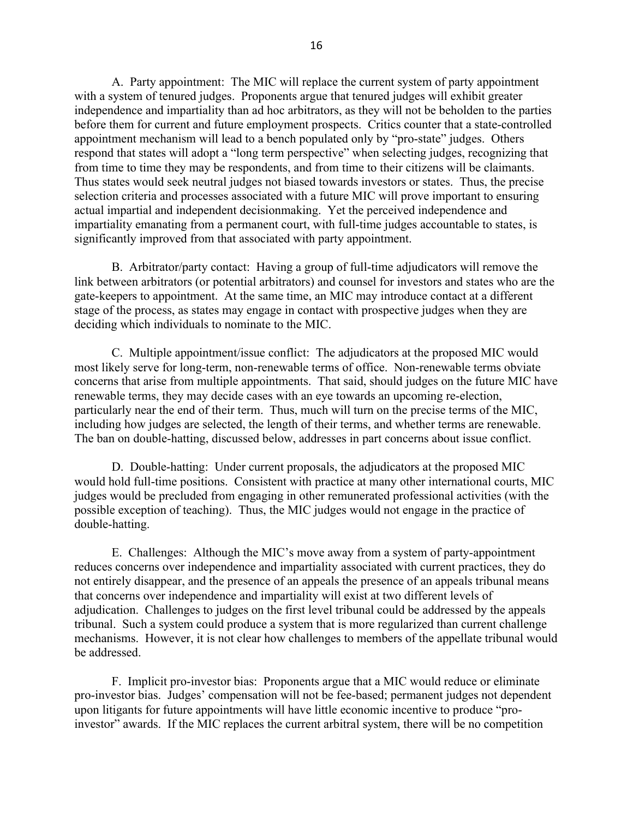A. Party appointment: The MIC will replace the current system of party appointment with a system of tenured judges. Proponents argue that tenured judges will exhibit greater independence and impartiality than ad hoc arbitrators, as they will not be beholden to the parties before them for current and future employment prospects. Critics counter that a state-controlled appointment mechanism will lead to a bench populated only by "pro-state" judges. Others respond that states will adopt a "long term perspective" when selecting judges, recognizing that from time to time they may be respondents, and from time to their citizens will be claimants. Thus states would seek neutral judges not biased towards investors or states. Thus, the precise selection criteria and processes associated with a future MIC will prove important to ensuring actual impartial and independent decisionmaking. Yet the perceived independence and impartiality emanating from a permanent court, with full-time judges accountable to states, is significantly improved from that associated with party appointment.

B. Arbitrator/party contact: Having a group of full-time adjudicators will remove the link between arbitrators (or potential arbitrators) and counsel for investors and states who are the gate-keepers to appointment. At the same time, an MIC may introduce contact at a different stage of the process, as states may engage in contact with prospective judges when they are deciding which individuals to nominate to the MIC.

C. Multiple appointment/issue conflict: The adjudicators at the proposed MIC would most likely serve for long-term, non-renewable terms of office. Non-renewable terms obviate concerns that arise from multiple appointments. That said, should judges on the future MIC have renewable terms, they may decide cases with an eye towards an upcoming re-election, particularly near the end of their term. Thus, much will turn on the precise terms of the MIC, including how judges are selected, the length of their terms, and whether terms are renewable. The ban on double-hatting, discussed below, addresses in part concerns about issue conflict.

D. Double-hatting: Under current proposals, the adjudicators at the proposed MIC would hold full-time positions. Consistent with practice at many other international courts, MIC judges would be precluded from engaging in other remunerated professional activities (with the possible exception of teaching). Thus, the MIC judges would not engage in the practice of double-hatting.

E. Challenges: Although the MIC's move away from a system of party-appointment reduces concerns over independence and impartiality associated with current practices, they do not entirely disappear, and the presence of an appeals the presence of an appeals tribunal means that concerns over independence and impartiality will exist at two different levels of adjudication. Challenges to judges on the first level tribunal could be addressed by the appeals tribunal. Such a system could produce a system that is more regularized than current challenge mechanisms. However, it is not clear how challenges to members of the appellate tribunal would be addressed.

F. Implicit pro-investor bias: Proponents argue that a MIC would reduce or eliminate pro-investor bias. Judges' compensation will not be fee-based; permanent judges not dependent upon litigants for future appointments will have little economic incentive to produce "proinvestor" awards. If the MIC replaces the current arbitral system, there will be no competition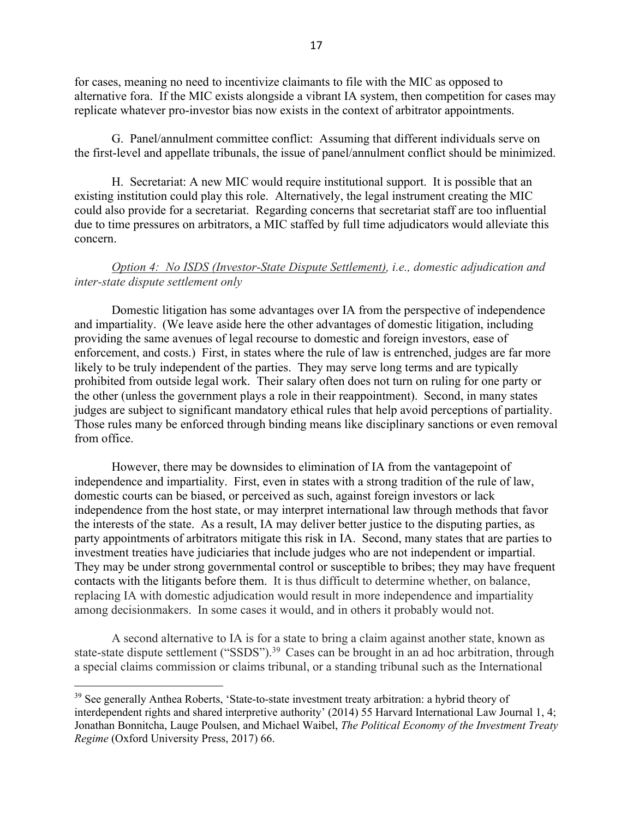for cases, meaning no need to incentivize claimants to file with the MIC as opposed to alternative fora. If the MIC exists alongside a vibrant IA system, then competition for cases may replicate whatever pro-investor bias now exists in the context of arbitrator appointments.

G. Panel/annulment committee conflict: Assuming that different individuals serve on the first-level and appellate tribunals, the issue of panel/annulment conflict should be minimized.

H. Secretariat: A new MIC would require institutional support. It is possible that an existing institution could play this role. Alternatively, the legal instrument creating the MIC could also provide for a secretariat. Regarding concerns that secretariat staff are too influential due to time pressures on arbitrators, a MIC staffed by full time adjudicators would alleviate this concern.

*Option 4: No ISDS (Investor-State Dispute Settlement), i.e., domestic adjudication and inter-state dispute settlement only*

Domestic litigation has some advantages over IA from the perspective of independence and impartiality. (We leave aside here the other advantages of domestic litigation, including providing the same avenues of legal recourse to domestic and foreign investors, ease of enforcement, and costs.) First, in states where the rule of law is entrenched, judges are far more likely to be truly independent of the parties. They may serve long terms and are typically prohibited from outside legal work. Their salary often does not turn on ruling for one party or the other (unless the government plays a role in their reappointment). Second, in many states judges are subject to significant mandatory ethical rules that help avoid perceptions of partiality. Those rules many be enforced through binding means like disciplinary sanctions or even removal from office.

However, there may be downsides to elimination of IA from the vantagepoint of independence and impartiality. First, even in states with a strong tradition of the rule of law, domestic courts can be biased, or perceived as such, against foreign investors or lack independence from the host state, or may interpret international law through methods that favor the interests of the state. As a result, IA may deliver better justice to the disputing parties, as party appointments of arbitrators mitigate this risk in IA. Second, many states that are parties to investment treaties have judiciaries that include judges who are not independent or impartial. They may be under strong governmental control or susceptible to bribes; they may have frequent contacts with the litigants before them. It is thus difficult to determine whether, on balance, replacing IA with domestic adjudication would result in more independence and impartiality among decisionmakers. In some cases it would, and in others it probably would not.

A second alternative to IA is for a state to bring a claim against another state, known as state-state dispute settlement ("SSDS").<sup>39</sup> Cases can be brought in an ad hoc arbitration, through a special claims commission or claims tribunal, or a standing tribunal such as the International

<sup>&</sup>lt;sup>39</sup> See generally Anthea Roberts, 'State-to-state investment treaty arbitration: a hybrid theory of interdependent rights and shared interpretive authority' (2014) 55 Harvard International Law Journal 1, 4; Jonathan Bonnitcha, Lauge Poulsen, and Michael Waibel, *The Political Economy of the Investment Treaty Regime* (Oxford University Press, 2017) 66.